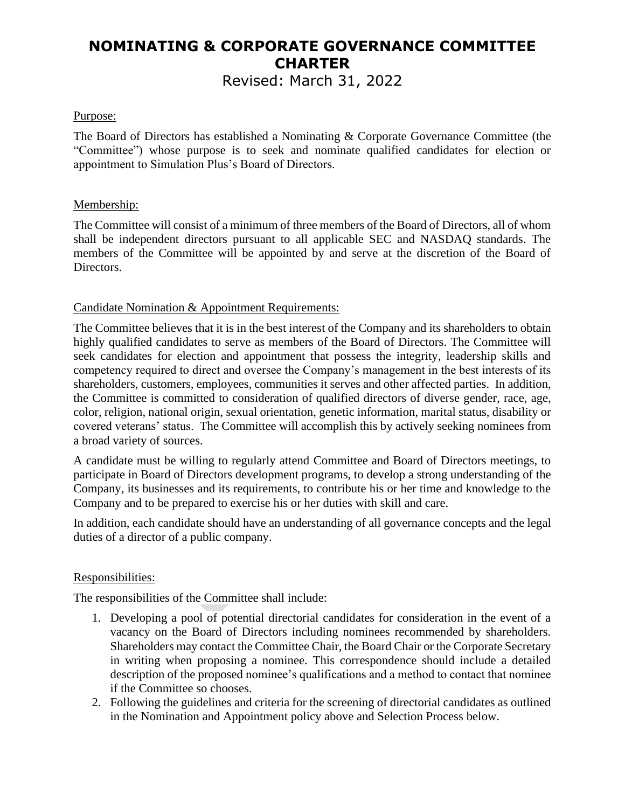# **NOMINATING & CORPORATE GOVERNANCE COMMITTEE CHARTER**

Revised: March 31, 2022

## Purpose:

The Board of Directors has established a Nominating & Corporate Governance Committee (the "Committee") whose purpose is to seek and nominate qualified candidates for election or appointment to Simulation Plus's Board of Directors.

## Membership:

The Committee will consist of a minimum of three members of the Board of Directors, all of whom shall be independent directors pursuant to all applicable SEC and NASDAQ standards. The members of the Committee will be appointed by and serve at the discretion of the Board of Directors.

## Candidate Nomination & Appointment Requirements:

The Committee believes that it is in the best interest of the Company and its shareholders to obtain highly qualified candidates to serve as members of the Board of Directors. The Committee will seek candidates for election and appointment that possess the integrity, leadership skills and competency required to direct and oversee the Company's management in the best interests of its shareholders, customers, employees, communities it serves and other affected parties. In addition, the Committee is committed to consideration of qualified directors of diverse gender, race, age, color, religion, national origin, sexual orientation, genetic information, marital status, disability or covered veterans' status. The Committee will accomplish this by actively seeking nominees from a broad variety of sources.

A candidate must be willing to regularly attend Committee and Board of Directors meetings, to participate in Board of Directors development programs, to develop a strong understanding of the Company, its businesses and its requirements, to contribute his or her time and knowledge to the Company and to be prepared to exercise his or her duties with skill and care.

In addition, each candidate should have an understanding of all governance concepts and the legal duties of a director of a public company.

### Responsibilities:

The responsibilities of the Committee shall include:

- 1. Developing a pool of potential directorial candidates for consideration in the event of a vacancy on the Board of Directors including nominees recommended by shareholders. Shareholders may contact the Committee Chair, the Board Chair or the Corporate Secretary in writing when proposing a nominee. This correspondence should include a detailed description of the proposed nominee's qualifications and a method to contact that nominee if the Committee so chooses.
- 2. Following the guidelines and criteria for the screening of directorial candidates as outlined in the Nomination and Appointment policy above and Selection Process below.